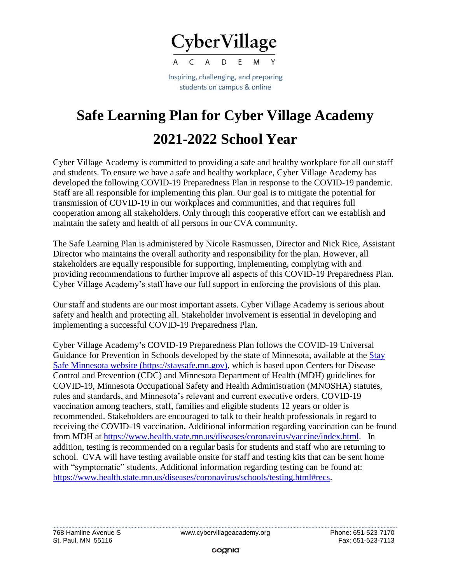

# **Safe Learning Plan for Cyber Village Academy 2021-2022 School Year**

Cyber Village Academy is committed to providing a safe and healthy workplace for all our staff and students. To ensure we have a safe and healthy workplace, Cyber Village Academy has developed the following COVID-19 Preparedness Plan in response to the COVID-19 pandemic. Staff are all responsible for implementing this plan. Our goal is to mitigate the potential for transmission of COVID-19 in our workplaces and communities, and that requires full cooperation among all stakeholders. Only through this cooperative effort can we establish and maintain the safety and health of all persons in our CVA community.

The Safe Learning Plan is administered by Nicole Rasmussen, Director and Nick Rice, Assistant Director who maintains the overall authority and responsibility for the plan. However, all stakeholders are equally responsible for supporting, implementing, complying with and providing recommendations to further improve all aspects of this COVID-19 Preparedness Plan. Cyber Village Academy's staff have our full support in enforcing the provisions of this plan.

Our staff and students are our most important assets. Cyber Village Academy is serious about safety and health and protecting all. Stakeholder involvement is essential in developing and implementing a successful COVID-19 Preparedness Plan.

Cyber Village Academy's COVID-19 Preparedness Plan follows the COVID-19 Universal Guidance for Prevention in Schools developed by the state of Minnesota, available at the Stay [Safe Minnesota website \(https://staysafe.mn.gov\),](https://staysafe.mn.gov/industry-guidance/index.jsp) which is based upon Centers for Disease Control and Prevention (CDC) and Minnesota Department of Health (MDH) guidelines for COVID-19, Minnesota Occupational Safety and Health Administration (MNOSHA) statutes, rules and standards, and Minnesota's relevant and current executive orders. COVID-19 vaccination among teachers, staff, families and eligible students 12 years or older is recommended. Stakeholders are encouraged to talk to their health professionals in regard to receiving the COVID-19 vaccination. Additional information regarding vaccination can be found from MDH at [https://www.health.state.mn.us/diseases/coronavirus/vaccine/index.html.](https://www.health.state.mn.us/diseases/coronavirus/vaccine/index.html) In addition, testing is recommended on a regular basis for students and staff who are returning to school. CVA will have testing available onsite for staff and testing kits that can be sent home with "symptomatic" students. Additional information regarding testing can be found at: [https://www.health.state.mn.us/diseases/coronavirus/schools/testing.html#recs.](https://www.health.state.mn.us/diseases/coronavirus/schools/testing.html#recs)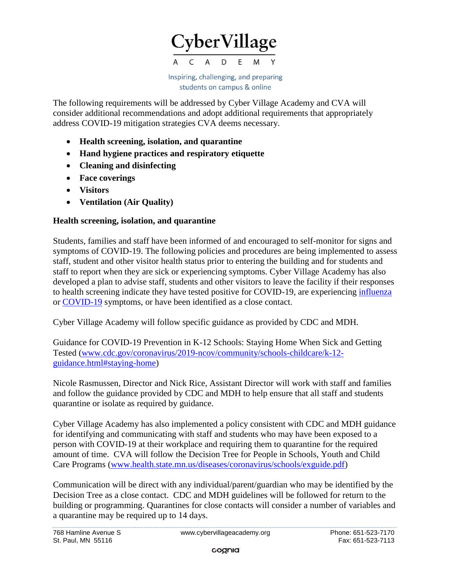

The following requirements will be addressed by Cyber Village Academy and CVA will consider additional recommendations and adopt additional requirements that appropriately address COVID-19 mitigation strategies CVA deems necessary.

- **Health screening, isolation, and quarantine**
- **Hand hygiene practices and respiratory etiquette**
- **Cleaning and disinfecting**
- **Face coverings**
- **Visitors**
- **Ventilation (Air Quality)**

# **Health screening, isolation, and quarantine**

Students, families and staff have been informed of and encouraged to self-monitor for signs and symptoms of COVID-19. The following policies and procedures are being implemented to assess staff, student and other visitor health status prior to entering the building and for students and staff to report when they are sick or experiencing symptoms. Cyber Village Academy has also developed a plan to advise staff, students and other visitors to leave the facility if their responses to health screening indicate they have tested positive for COVID-19, are experiencing [influenza](https://www.cdc.gov/flu/symptoms/flu-vs-covid19.htm) or [COVID-19](https://www.cdc.gov/flu/symptoms/flu-vs-covid19.htm) symptoms, or have been identified as a close contact.

Cyber Village Academy will follow specific guidance as provided by CDC and MDH.

Guidance for COVID-19 Prevention in K-12 Schools: Staying Home When Sick and Getting Tested [\(www.cdc.gov/coronavirus/2019-ncov/community/schools-childcare/k-12](http://www.cdc.gov/coronavirus/2019-ncov/community/schools-childcare/k-12-guidance.html#staying-home) [guidance.html#staying-home\)](http://www.cdc.gov/coronavirus/2019-ncov/community/schools-childcare/k-12-guidance.html#staying-home)

Nicole Rasmussen, Director and Nick Rice, Assistant Director will work with staff and families and follow the guidance provided by CDC and MDH to help ensure that all staff and students quarantine or isolate as required by guidance.

Cyber Village Academy has also implemented a policy consistent with CDC and MDH guidance for identifying and communicating with staff and students who may have been exposed to a person with COVID-19 at their workplace and requiring them to quarantine for the required amount of time. CVA will follow the Decision Tree for People in Schools, Youth and Child Care Programs [\(www.health.state.mn.us/diseases/coronavirus/schools/exguide.pdf\)](http://www.health.state.mn.us/diseases/coronavirus/schools/exguide.pdf)

Communication will be direct with any individual/parent/guardian who may be identified by the Decision Tree as a close contact. CDC and MDH guidelines will be followed for return to the building or programming. Quarantines for close contacts will consider a number of variables and a quarantine may be required up to 14 days.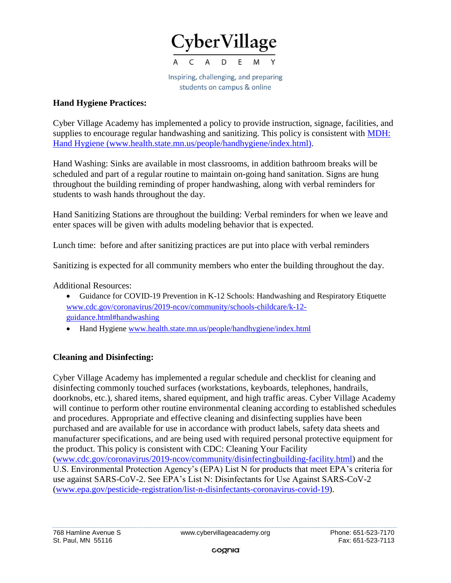

# **Hand Hygiene Practices:**

Cyber Village Academy has implemented a policy to provide instruction, signage, facilities, and supplies to encourage regular handwashing and sanitizing. This policy is consistent with [MDH:](http://www.health.state.mn.us/people/handhygiene/index.html)  [Hand Hygiene \(www.health.state.mn.us/people/handhygiene/index.html\).](http://www.health.state.mn.us/people/handhygiene/index.html)

Hand Washing: Sinks are available in most classrooms, in addition bathroom breaks will be scheduled and part of a regular routine to maintain on-going hand sanitation. Signs are hung throughout the building reminding of proper handwashing, along with verbal reminders for students to wash hands throughout the day.

Hand Sanitizing Stations are throughout the building: Verbal reminders for when we leave and enter spaces will be given with adults modeling behavior that is expected.

Lunch time: before and after sanitizing practices are put into place with verbal reminders

Sanitizing is expected for all community members who enter the building throughout the day.

Additional Resources:

- Guidance for COVID-19 Prevention in K-12 Schools: Handwashing and Respiratory Etiquette [www.cdc.gov/coronavirus/2019-ncov/community/schools-childcare/k-12](http://www.cdc.gov/coronavirus/2019-ncov/community/schools-childcare/k-12-guidance.html#handwashing) [guidance.html#handwashing](http://www.cdc.gov/coronavirus/2019-ncov/community/schools-childcare/k-12-guidance.html#handwashing)
- Hand Hygiene [www.health.state.mn.us/people/handhygiene/index.html](http://www.health.state.mn.us/people/handhygiene/index.html)

## **Cleaning and Disinfecting:**

Cyber Village Academy has implemented a regular schedule and checklist for cleaning and disinfecting commonly touched surfaces (workstations, keyboards, telephones, handrails, doorknobs, etc.), shared items, shared equipment, and high traffic areas. Cyber Village Academy will continue to perform other routine environmental cleaning according to established schedules and procedures. Appropriate and effective cleaning and disinfecting supplies have been purchased and are available for use in accordance with product labels, safety data sheets and manufacturer specifications, and are being used with required personal protective equipment for the product. This policy is consistent with CDC: Cleaning Your Facility [\(www.cdc.gov/coronavirus/2019-ncov/community/disinfectingbuilding-facility.html\)](file://///dc/aback/Nicole%20Rasmussen/2021-2022%20School%20Year/www.cdc.gov/coronavirus/2019-ncov/community/disinfectingbuilding-facility.html) and the U.S. Environmental Protection Agency's (EPA) List N for products that meet EPA's criteria for use against SARS-CoV-2. See EPA's List N: Disinfectants for Use Against SARS-CoV-2 [\(www.epa.gov/pesticide-registration/list-n-disinfectants-coronavirus-covid-19\)](file://///dc/aback/Nicole%20Rasmussen/2021-2022%20School%20Year/www.epa.gov/pesticide-registration/list-n-disinfectants-coronavirus-covid-19).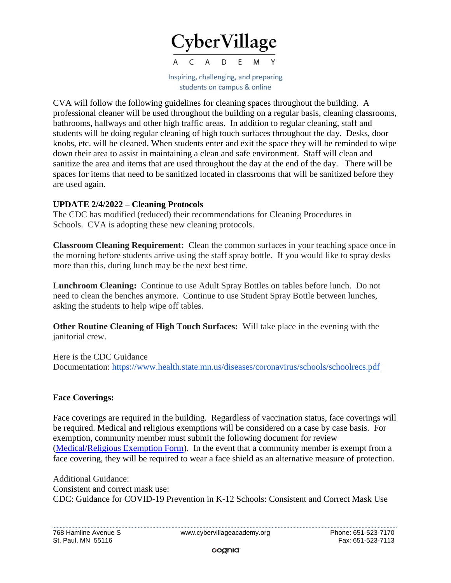

CVA will follow the following guidelines for cleaning spaces throughout the building. A professional cleaner will be used throughout the building on a regular basis, cleaning classrooms, bathrooms, hallways and other high traffic areas. In addition to regular cleaning, staff and students will be doing regular cleaning of high touch surfaces throughout the day. Desks, door knobs, etc. will be cleaned. When students enter and exit the space they will be reminded to wipe down their area to assist in maintaining a clean and safe environment. Staff will clean and sanitize the area and items that are used throughout the day at the end of the day. There will be spaces for items that need to be sanitized located in classrooms that will be sanitized before they are used again.

#### **UPDATE 2/4/2022 – Cleaning Protocols**

The CDC has modified (reduced) their recommendations for Cleaning Procedures in Schools. CVA is adopting these new cleaning protocols.

**Classroom Cleaning Requirement:** Clean the common surfaces in your teaching space once in the morning before students arrive using the staff spray bottle. If you would like to spray desks more than this, during lunch may be the next best time.

**Lunchroom Cleaning:** Continue to use Adult Spray Bottles on tables before lunch. Do not need to clean the benches anymore. Continue to use Student Spray Bottle between lunches, asking the students to help wipe off tables.

**Other Routine Cleaning of High Touch Surfaces:** Will take place in the evening with the janitorial crew.

Here is the CDC Guidance Documentation: <https://www.health.state.mn.us/diseases/coronavirus/schools/schoolrecs.pdf>

#### **Face Coverings:**

Face coverings are required in the building. Regardless of vaccination status, face coverings will be required. Medical and religious exemptions will be considered on a case by case basis. For exemption, community member must submit the following document for review [\(Medical/Religious Exemption Form\)](file://///dc/aback/Nicole%20Rasmussen/2021-2022%20School%20Year/Medical%20&%20Religious%20Exemption%20form.pdf). In the event that a community member is exempt from a face covering, they will be required to wear a face shield as an alternative measure of protection.

Additional Guidance: Consistent and correct mask use: CDC: Guidance for COVID-19 Prevention in K-12 Schools: Consistent and Correct Mask Use

768 Hamline Avenue S [www.cybervillageacademy.org](http://www.cybervillageacademy.org/) Phone: 651-523-7170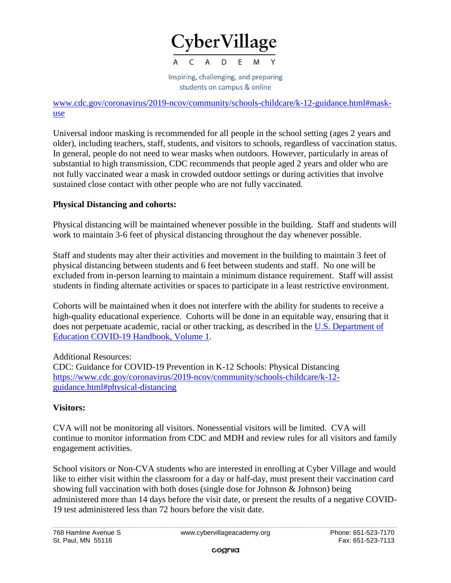

[www.cdc.gov/coronavirus/2019-ncov/community/schools-childcare/k-12-guidance.html#mask](http://www.cdc.gov/coronavirus/2019-ncov/community/schools-childcare/k-12-guidance.html#mask-use)[use](http://www.cdc.gov/coronavirus/2019-ncov/community/schools-childcare/k-12-guidance.html#mask-use)

Universal indoor masking is recommended for all people in the school setting (ages 2 years and older), including teachers, staff, students, and visitors to schools, regardless of vaccination status. In general, people do not need to wear masks when outdoors. However, particularly in areas of substantial to high transmission, CDC recommends that people aged 2 years and older who are not fully vaccinated wear a mask in crowded outdoor settings or during activities that involve sustained close contact with other people who are not fully vaccinated.

# **Physical Distancing and cohorts:**

Physical distancing will be maintained whenever possible in the building. Staff and students will work to maintain 3-6 feet of physical distancing throughout the day whenever possible.

Staff and students may alter their activities and movement in the building to maintain 3 feet of physical distancing between students and 6 feet between students and staff. No one will be excluded from in-person learning to maintain a minimum distance requirement. Staff will assist students in finding alternate activities or spaces to participate in a least restrictive environment.

Cohorts will be maintained when it does not interfere with the ability for students to receive a high-quality educational experience. Cohorts will be done in an equitable way, ensuring that it does not perpetuate academic, racial or other tracking, as described in the [U.S. Department of](https://www.ed.gov/news/press-releases/us-department-education-covid-19-handbook-volume-1-strategies-safely-reopening-elementary-and-secondary-schools)  [Education COVID-19 Handbook, Volume 1.](https://www.ed.gov/news/press-releases/us-department-education-covid-19-handbook-volume-1-strategies-safely-reopening-elementary-and-secondary-schools)

Additional Resources: CDC: Guidance for COVID-19 Prevention in K-12 Schools: Physical Distancing [https://www.cdc.gov/coronavirus/2019-ncov/community/schools-childcare/k-12](https://www.cdc.gov/coronavirus/2019-ncov/community/schools-childcare/k-12-guidance.html#physical-distancing) [guidance.html#physical-distancing](https://www.cdc.gov/coronavirus/2019-ncov/community/schools-childcare/k-12-guidance.html#physical-distancing)

## **Visitors:**

CVA will not be monitoring all visitors. Nonessential visitors will be limited. CVA will continue to monitor information from CDC and MDH and review rules for all visitors and family engagement activities.

School visitors or Non-CVA students who are interested in enrolling at Cyber Village and would like to either visit within the classroom for a day or half-day, must present their vaccination card showing full vaccination with both doses (single dose for Johnson & Johnson) being administered more than 14 days before the visit date, or present the results of a negative COVID-19 test administered less than 72 hours before the visit date.